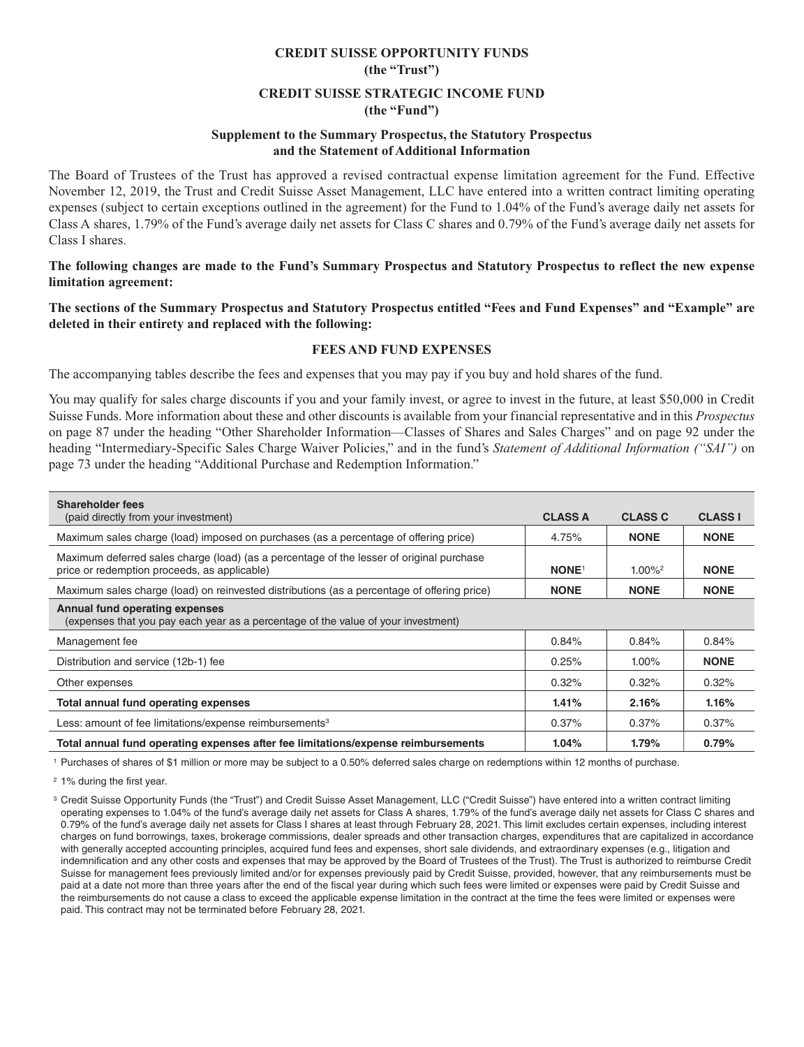# **CREDIT SUISSE OPPORTUNITY FUNDS (the "Trust")**

## **CREDIT SUISSE STRATEGIC INCOME FUND (the "Fund")**

#### **Supplement to the Summary Prospectus, the Statutory Prospectus and the Statement of Additional Information**

The Board of Trustees of the Trust has approved a revised contractual expense limitation agreement for the Fund. Effective November 12, 2019, the Trust and Credit Suisse Asset Management, LLC have entered into a written contract limiting operating expenses (subject to certain exceptions outlined in the agreement) for the Fund to 1.04% of the Fund's average daily net assets for Class A shares, 1.79% of the Fund's average daily net assets for Class C shares and 0.79% of the Fund's average daily net assets for Class I shares.

**The following changes are made to the Fund's Summary Prospectus and Statutory Prospectus to reflect the new expense limitation agreement:**

**The sections of the Summary Prospectus and Statutory Prospectus entitled "Fees and Fund Expenses" and "Example" are deleted in their entirety and replaced with the following:**

## **FEES AND FUND EXPENSES**

The accompanying tables describe the fees and expenses that you may pay if you buy and hold shares of the fund.

You may qualify for sales charge discounts if you and your family invest, or agree to invest in the future, at least \$50,000 in Credit Suisse Funds. More information about these and other discounts is available from your financial representative and in this *Prospectus* on page 87 under the heading "Other Shareholder Information—Classes of Shares and Sales Charges" and on page 92 under the heading "Intermediary-Specific Sales Charge Waiver Policies," and in the fund's *Statement of Additional Information ("SAI")* on page 73 under the heading "Additional Purchase and Redemption Information."

| <b>Shareholder fees</b><br>(paid directly from your investment)                                                                          | <b>CLASS A</b>          | <b>CLASS C</b>        | <b>CLASS I</b> |
|------------------------------------------------------------------------------------------------------------------------------------------|-------------------------|-----------------------|----------------|
| Maximum sales charge (load) imposed on purchases (as a percentage of offering price)                                                     | 4.75%                   | <b>NONE</b>           | <b>NONE</b>    |
| Maximum deferred sales charge (load) (as a percentage of the lesser of original purchase<br>price or redemption proceeds, as applicable) | <b>NONE<sup>1</sup></b> | $1.00\%$ <sup>2</sup> | <b>NONE</b>    |
| Maximum sales charge (load) on reinvested distributions (as a percentage of offering price)                                              | <b>NONE</b>             | <b>NONE</b>           | <b>NONE</b>    |
| <b>Annual fund operating expenses</b><br>(expenses that you pay each year as a percentage of the value of your investment)               |                         |                       |                |
| Management fee                                                                                                                           | 0.84%                   | 0.84%                 | 0.84%          |
| Distribution and service (12b-1) fee                                                                                                     | 0.25%                   | $1.00\%$              | <b>NONE</b>    |
| Other expenses                                                                                                                           | 0.32%                   | 0.32%                 | 0.32%          |
| Total annual fund operating expenses                                                                                                     | 1.41%                   | 2.16%                 | 1.16%          |
| Less: amount of fee limitations/expense reimbursements <sup>3</sup>                                                                      | 0.37%                   | 0.37%                 | 0.37%          |
| Total annual fund operating expenses after fee limitations/expense reimbursements                                                        | $1.04\%$                | 1.79%                 | 0.79%          |

1 Purchases of shares of \$1 million or more may be subject to a 0.50% deferred sales charge on redemptions within 12 months of purchase.

2 1% during the first year.

<sup>3</sup> Credit Suisse Opportunity Funds (the "Trust") and Credit Suisse Asset Management, LLC ("Credit Suisse") have entered into a written contract limiting operating expenses to 1.04% of the fund's average daily net assets for Class A shares, 1.79% of the fund's average daily net assets for Class C shares and 0.79% of the fund's average daily net assets for Class I shares at least through February 28, 2021. This limit excludes certain expenses, including interest charges on fund borrowings, taxes, brokerage commissions, dealer spreads and other transaction charges, expenditures that are capitalized in accordance with generally accepted accounting principles, acquired fund fees and expenses, short sale dividends, and extraordinary expenses (e.g., litigation and indemnification and any other costs and expenses that may be approved by the Board of Trustees of the Trust). The Trust is authorized to reimburse Credit Suisse for management fees previously limited and/or for expenses previously paid by Credit Suisse, provided, however, that any reimbursements must be paid at a date not more than three years after the end of the fiscal year during which such fees were limited or expenses were paid by Credit Suisse and the reimbursements do not cause a class to exceed the applicable expense limitation in the contract at the time the fees were limited or expenses were paid. This contract may not be terminated before February 28, 2021.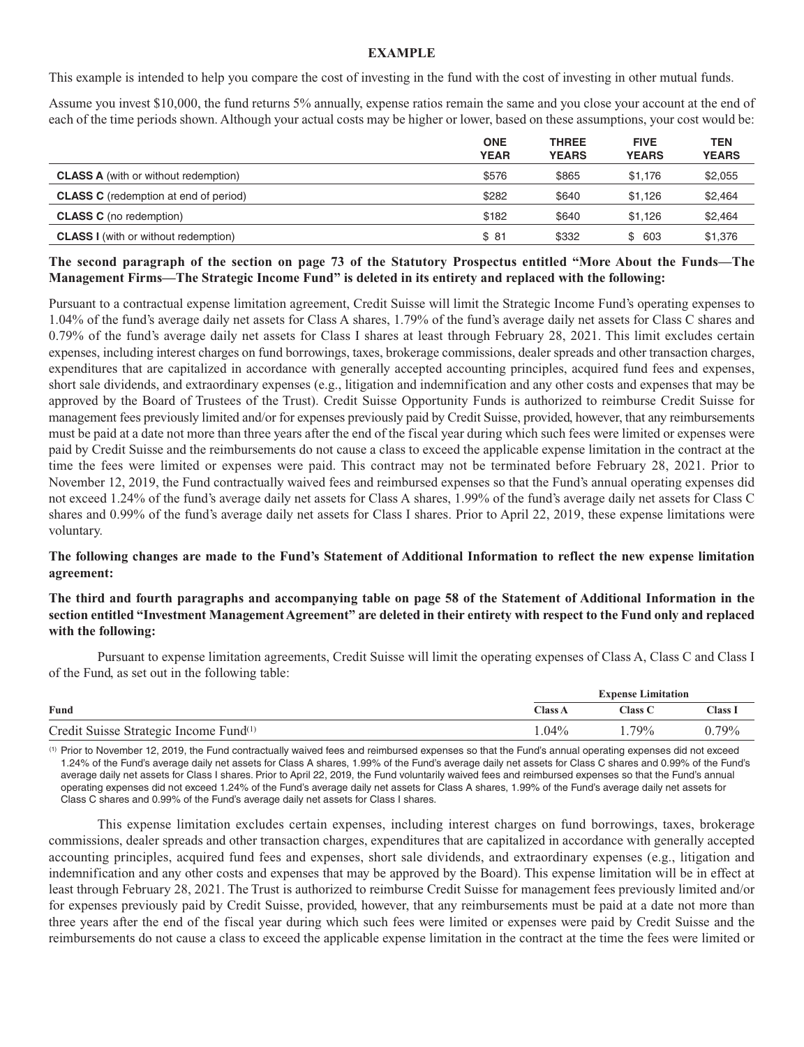#### **EXAMPLE**

This example is intended to help you compare the cost of investing in the fund with the cost of investing in other mutual funds.

Assume you invest \$10,000, the fund returns 5% annually, expense ratios remain the same and you close your account at the end of each of the time periods shown. Although your actual costs may be higher or lower, based on these assumptions, your cost would be:

|                                              | <b>ONE</b><br><b>YEAR</b> | <b>THREE</b><br><b>YEARS</b> | <b>FIVE</b><br><b>YEARS</b> | TEN<br><b>YEARS</b> |
|----------------------------------------------|---------------------------|------------------------------|-----------------------------|---------------------|
| <b>CLASS A</b> (with or without redemption)  | \$576                     | \$865                        | \$1.176                     | \$2,055             |
| <b>CLASS C</b> (redemption at end of period) | \$282                     | \$640                        | \$1.126                     | \$2,464             |
| <b>CLASS C</b> (no redemption)               | \$182                     | \$640                        | \$1.126                     | \$2,464             |
| <b>CLASS I</b> (with or without redemption)  | \$81                      | \$332                        | \$ 603                      | \$1,376             |

## **The second paragraph of the section on page 73 of the Statutory Prospectus entitled "More About the Funds—The Management Firms—The Strategic Income Fund" is deleted in its entirety and replaced with the following:**

Pursuant to a contractual expense limitation agreement, Credit Suisse will limit the Strategic Income Fund's operating expenses to 1.04% of the fund's average daily net assets for Class A shares, 1.79% of the fund's average daily net assets for Class C shares and 0.79% of the fund's average daily net assets for Class I shares at least through February 28, 2021. This limit excludes certain expenses, including interest charges on fund borrowings, taxes, brokerage commissions, dealer spreads and other transaction charges, expenditures that are capitalized in accordance with generally accepted accounting principles, acquired fund fees and expenses, short sale dividends, and extraordinary expenses (e.g., litigation and indemnification and any other costs and expenses that may be approved by the Board of Trustees of the Trust). Credit Suisse Opportunity Funds is authorized to reimburse Credit Suisse for management fees previously limited and/or for expenses previously paid by Credit Suisse, provided, however, that any reimbursements must be paid at a date not more than three years after the end of the fiscal year during which such fees were limited or expenses were paid by Credit Suisse and the reimbursements do not cause a class to exceed the applicable expense limitation in the contract at the time the fees were limited or expenses were paid. This contract may not be terminated before February 28, 2021. Prior to November 12, 2019, the Fund contractually waived fees and reimbursed expenses so that the Fund's annual operating expenses did not exceed 1.24% of the fund's average daily net assets for Class A shares, 1.99% of the fund's average daily net assets for Class C shares and 0.99% of the fund's average daily net assets for Class I shares. Prior to April 22, 2019, these expense limitations were voluntary.

## **The following changes are made to the Fund's Statement of Additional Information to reflect the new expense limitation agreement:**

## **The third and fourth paragraphs and accompanying table on page 58 of the Statement of Additional Information in the section entitled "Investment Management Agreement" are deleted in their entirety with respect to the Fund only and replaced with the following:**

Pursuant to expense limitation agreements, Credit Suisse will limit the operating expenses of Class A, Class C and Class I of the Fund, as set out in the following table:

|                                                    | <b>Expense Limitation</b> |          |          |
|----------------------------------------------------|---------------------------|----------|----------|
| Fund                                               | <b>Class A</b>            | Class C  | Class 1  |
| Credit Suisse Strategic Income Fund <sup>(1)</sup> | $.04\%$                   | $1.79\%$ | $0.79\%$ |

(1) Prior to November 12, 2019, the Fund contractually waived fees and reimbursed expenses so that the Fund's annual operating expenses did not exceed 1.24% of the Fund's average daily net assets for Class A shares, 1.99% of the Fund's average daily net assets for Class C shares and 0.99% of the Fund's average daily net assets for Class I shares. Prior to April 22, 2019, the Fund voluntarily waived fees and reimbursed expenses so that the Fund's annual operating expenses did not exceed 1.24% of the Fund's average daily net assets for Class A shares, 1.99% of the Fund's average daily net assets for Class C shares and 0.99% of the Fund's average daily net assets for Class I shares.

This expense limitation excludes certain expenses, including interest charges on fund borrowings, taxes, brokerage commissions, dealer spreads and other transaction charges, expenditures that are capitalized in accordance with generally accepted accounting principles, acquired fund fees and expenses, short sale dividends, and extraordinary expenses (e.g., litigation and indemnification and any other costs and expenses that may be approved by the Board). This expense limitation will be in effect at least through February 28, 2021. The Trust is authorized to reimburse Credit Suisse for management fees previously limited and/or for expenses previously paid by Credit Suisse, provided, however, that any reimbursements must be paid at a date not more than three years after the end of the fiscal year during which such fees were limited or expenses were paid by Credit Suisse and the reimbursements do not cause a class to exceed the applicable expense limitation in the contract at the time the fees were limited or